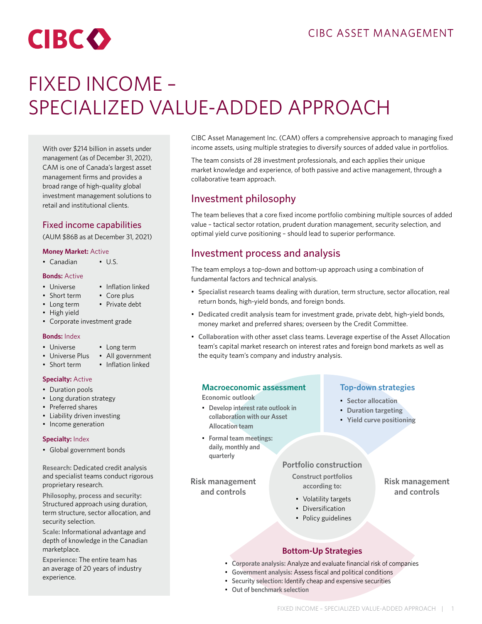# **CIBCO**

## FIXED INCOME – SPECIALIZED VALUE-ADDED APPROACH

With over \$214 billion in assets under management (as of December 31, 2021), CAM is one of Canada's largest asset management firms and provides a broad range of high-quality global investment management solutions to retail and institutional clients.

## Fixed income capabilities

(AUM \$86B as at December 31, 2021)

### **Money Market:** Active

• Canadian • U.S.

#### **Bonds:** Active

- Universe
- Short term
- Long term
- High yield
- Corporate investment grade

### **Bonds:** Index

• Short term

- Universe
- Universe Plus All government
	- Inflation linked

• Long term

• Inflation linked • Core plus • Private debt

#### **Specialty:** Active

- Duration pools
- Long duration strategy
- Preferred shares
- Liability driven investing
- Income generation

#### **Specialty:** Index

• Global government bonds

**Research:** Dedicated credit analysis and specialist teams conduct rigorous proprietary research.

**Philosophy, process and security:**  Structured approach using duration, term structure, sector allocation, and security selection.

**Scale:** Informational advantage and depth of knowledge in the Canadian marketplace.

**Experience:** The entire team has an average of 20 years of industry experience.

CIBC Asset Management Inc. (CAM) offers a comprehensive approach to managing fixed income assets, using multiple strategies to diversify sources of added value in portfolios.

The team consists of 28 investment professionals, and each applies their unique market knowledge and experience, of both passive and active management, through a collaborative team approach.

## Investment philosophy

The team believes that a core fixed income portfolio combining multiple sources of added value – tactical sector rotation, prudent duration management, security selection, and optimal yield curve positioning – should lead to superior performance.

## Investment process and analysis

The team employs a top-down and bottom-up approach using a combination of fundamental factors and technical analysis.

- **Specialist research teams** dealing with duration, term structure, sector allocation, real return bonds, high-yield bonds, and foreign bonds.
- **Dedicated credit analysis** team for investment grade, private debt, high-yield bonds, money market and preferred shares; overseen by the Credit Committee.
- **Collaboration** with other asset class teams. Leverage expertise of the Asset Allocation team's capital market research on interest rates and foreign bond markets as well as the equity team's company and industry analysis.

## **Macroeconomic assessment**

**Economic outlook**

- **Develop interest rate outlook in collaboration with our Asset Allocation team**
- **Formal team meetings: daily, monthly and quarterly**

**Risk management and controls**

## **Top-down strategies**

- **Sector allocation**
	- **Duration targeting**
	- **Yield curve positioning**

**Risk management and controls**

## **Portfolio construction**

**Construct portfolios according to:**

- Volatility targets
- Diversification
- Policy guidelines

## **Bottom-Up Strategies**

- **Corporate analysis:** Analyze and evaluate financial risk of companies
- **Government analysis:** Assess fiscal and political conditions
- **Security selection:** Identify cheap and expensive securities
- **Out of benchmark selection**